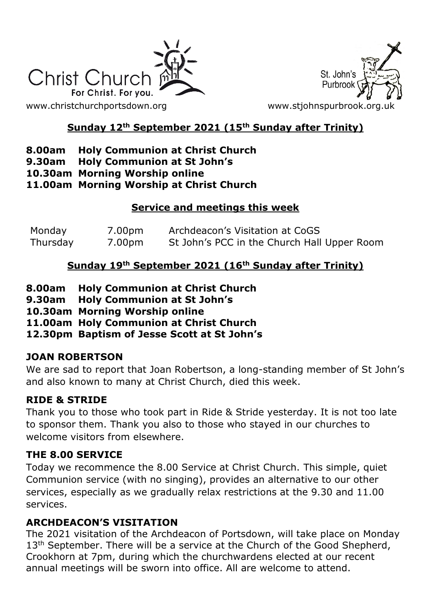



# **Sunday 12th September 2021 (15th Sunday after Trinity)**

# **8.00am Holy Communion at Christ Church**

- **9.30am Holy Communion at St John's**
- **10.30am Morning Worship online**

#### **11.00am Morning Worship at Christ Church**

## **Service and meetings this week**

| Monday   | 7.00pm | Archdeacon's Visitation at CoGS             |
|----------|--------|---------------------------------------------|
| Thursday | 7.00pm | St John's PCC in the Church Hall Upper Room |

# **Sunday 19th September 2021 (16th Sunday after Trinity)**

- **8.00am Holy Communion at Christ Church**
- **9.30am Holy Communion at St John's**
- **10.30am Morning Worship online**
- **11.00am Holy Communion at Christ Church**
- **12.30pm Baptism of Jesse Scott at St John's**

### **JOAN ROBERTSON**

We are sad to report that Joan Robertson, a long-standing member of St John's and also known to many at Christ Church, died this week.

### **RIDE & STRIDE**

Thank you to those who took part in Ride & Stride yesterday. It is not too late to sponsor them. Thank you also to those who stayed in our churches to welcome visitors from elsewhere

### **THE 8.00 SERVICE**

Today we recommence the 8.00 Service at Christ Church. This simple, quiet Communion service (with no singing), provides an alternative to our other services, especially as we gradually relax restrictions at the 9.30 and 11.00 services.

### **ARCHDEACON'S VISITATION**

The 2021 visitation of the Archdeacon of Portsdown, will take place on Monday 13<sup>th</sup> September. There will be a service at the Church of the Good Shepherd, Crookhorn at 7pm, during which the churchwardens elected at our recent annual meetings will be sworn into office. All are welcome to attend.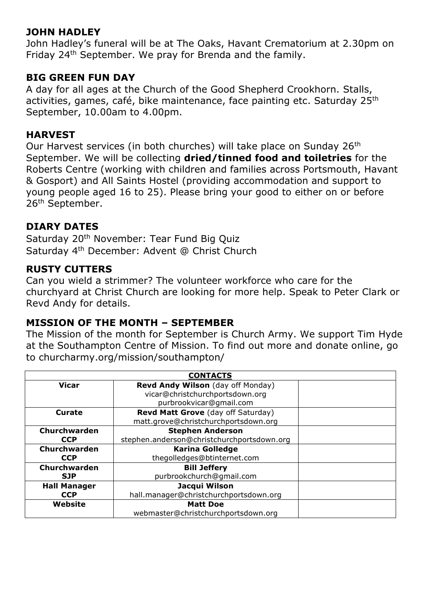## **JOHN HADLEY**

John Hadley's funeral will be at The Oaks, Havant Crematorium at 2.30pm on Friday 24th September. We pray for Brenda and the family.

#### **BIG GREEN FUN DAY**

A day for all ages at the Church of the Good Shepherd Crookhorn. Stalls, activities, games, café, bike maintenance, face painting etc. Saturday 25<sup>th</sup> September, 10.00am to 4.00pm.

### **HARVEST**

Our Harvest services (in both churches) will take place on Sunday 26th September. We will be collecting **dried/tinned food and toiletries** for the Roberts Centre (working with children and families across Portsmouth, Havant & Gosport) and All Saints Hostel (providing accommodation and support to young people aged 16 to 25). Please bring your good to either on or before 26th September.

## **DIARY DATES**

Saturday 20<sup>th</sup> November: Tear Fund Big Quiz Saturday 4th December: Advent @ Christ Church

### **RUSTY CUTTERS**

Can you wield a strimmer? The volunteer workforce who care for the churchyard at Christ Church are looking for more help. Speak to Peter Clark or Revd Andy for details.

### **MISSION OF THE MONTH – SEPTEMBER**

The Mission of the month for September is Church Army. We support Tim Hyde at the Southampton Centre of Mission. To find out more and donate online, go to churcharmy.org/mission/southampton/

| <b>CONTACTS</b>     |                                            |  |  |
|---------------------|--------------------------------------------|--|--|
| <b>Vicar</b>        | Revd Andy Wilson (day off Monday)          |  |  |
|                     | vicar@christchurchportsdown.org            |  |  |
|                     | purbrookvicar@gmail.com                    |  |  |
| <b>Curate</b>       | Revd Matt Grove (day off Saturday)         |  |  |
|                     | matt.grove@christchurchportsdown.org       |  |  |
| Churchwarden        | <b>Stephen Anderson</b>                    |  |  |
| <b>CCP</b>          | stephen.anderson@christchurchportsdown.org |  |  |
| Churchwarden        | <b>Karina Golledge</b>                     |  |  |
| <b>CCP</b>          | thegolledges@btinternet.com                |  |  |
| Churchwarden        | <b>Bill Jeffery</b>                        |  |  |
| <b>SJP</b>          | purbrookchurch@gmail.com                   |  |  |
| <b>Hall Manager</b> | Jacqui Wilson                              |  |  |
| <b>CCP</b>          | hall.manager@christchurchportsdown.org     |  |  |
| Website             | <b>Matt Doe</b>                            |  |  |
|                     | webmaster@christchurchportsdown.org        |  |  |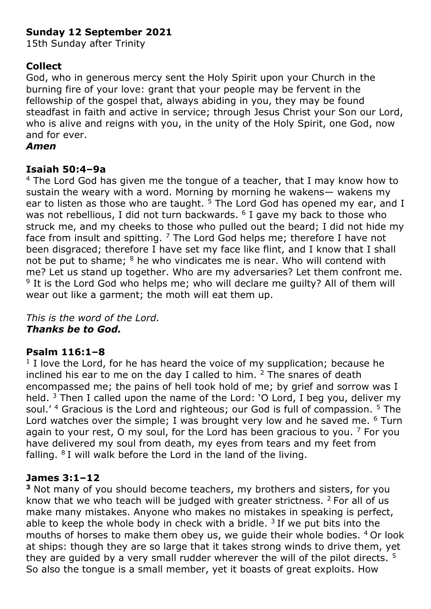# **Sunday 12 September 2021**

15th Sunday after Trinity

# **Collect**

God, who in generous mercy sent the Holy Spirit upon your Church in the burning fire of your love: grant that your people may be fervent in the fellowship of the gospel that, always abiding in you, they may be found steadfast in faith and active in service; through Jesus Christ your Son our Lord, who is alive and reigns with you, in the unity of the Holy Spirit, one God, now and for ever.

### *Amen*

### **Isaiah 50:4–9a**

<sup>4</sup> The Lord God has given me the tongue of a teacher, that I may know how to sustain the weary with a word. Morning by morning he wakens— wakens my ear to listen as those who are taught.  $5$  The Lord God has opened my ear, and I was not rebellious, I did not turn backwards.  $6$  I gave my back to those who struck me, and my cheeks to those who pulled out the beard; I did not hide my face from insult and spitting.  $7$  The Lord God helps me; therefore I have not been disgraced; therefore I have set my face like flint, and I know that I shall not be put to shame; <sup>8</sup> he who vindicates me is near. Who will contend with me? Let us stand up together. Who are my adversaries? Let them confront me. <sup>9</sup> It is the Lord God who helps me; who will declare me guilty? All of them will wear out like a garment; the moth will eat them up.

*This is the word of the Lord. Thanks be to God.*

### **Psalm 116:1–8**

<sup>1</sup> I love the Lord, for he has heard the voice of my supplication; because he inclined his ear to me on the day I called to him.  $2$  The snares of death encompassed me; the pains of hell took hold of me; by grief and sorrow was I held.  $3$  Then I called upon the name of the Lord: 'O Lord, I beg you, deliver my soul.' <sup>4</sup> Gracious is the Lord and righteous; our God is full of compassion. <sup>5</sup> The Lord watches over the simple; I was brought very low and he saved me. <sup>6</sup> Turn again to your rest, O my soul, for the Lord has been gracious to you.  $7$  For you have delivered my soul from death, my eyes from tears and my feet from falling. <sup>8</sup>I will walk before the Lord in the land of the living.

### **James 3:1–12**

**<sup>3</sup>** Not many of you should become teachers, my brothers and sisters, for you know that we who teach will be judged with greater strictness.  $2$  For all of us make many mistakes. Anyone who makes no mistakes in speaking is perfect, able to keep the whole body in check with a bridle.  $3$  If we put bits into the mouths of horses to make them obey us, we quide their whole bodies. <sup>4</sup> Or look at ships: though they are so large that it takes strong winds to drive them, yet they are quided by a very small rudder wherever the will of the pilot directs.  $5$ So also the tongue is a small member, yet it boasts of great exploits. How